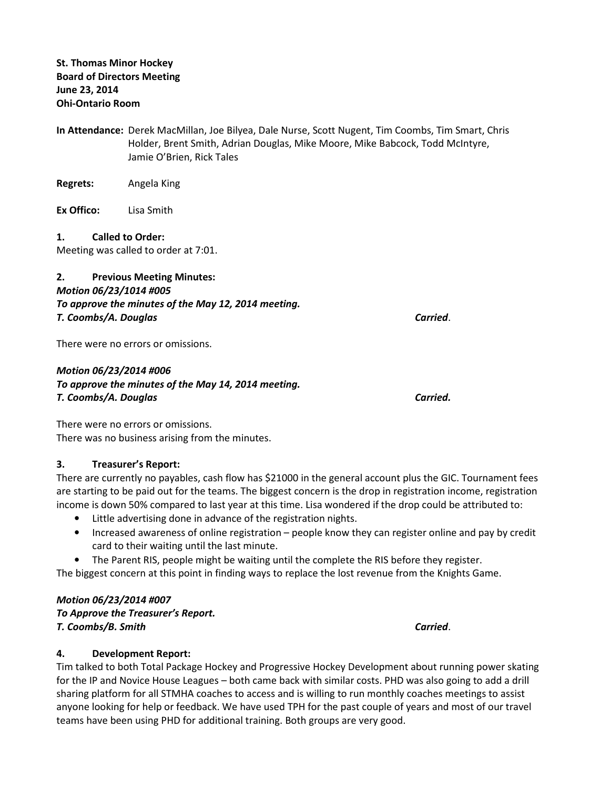- In Attendance: Derek MacMillan, Joe Bilyea, Dale Nurse, Scott Nugent, Tim Coombs, Tim Smart, Chris Holder, Brent Smith, Adrian Douglas, Mike Moore, Mike Babcock, Todd McIntyre, Jamie O'Brien, Rick Tales
- Regrets: Angela King
- Ex Offico: Lisa Smith

1. Called to Order:

Meeting was called to order at 7:01.

## 2. Previous Meeting Minutes: Motion 06/23/1014 #005 To approve the minutes of the May 12, 2014 meeting. T. Coombs/A. Douglas Carried.

There were no errors or omissions.

## Motion 06/23/2014 #006 To approve the minutes of the May 14, 2014 meeting. T. Coombs/A. Douglas Carried.

There were no errors or omissions. There was no business arising from the minutes.

## 3. Treasurer's Report:

There are currently no payables, cash flow has \$21000 in the general account plus the GIC. Tournament fees are starting to be paid out for the teams. The biggest concern is the drop in registration income, registration income is down 50% compared to last year at this time. Lisa wondered if the drop could be attributed to:

- Little advertising done in advance of the registration nights.
- Increased awareness of online registration people know they can register online and pay by credit card to their waiting until the last minute.
- The Parent RIS, people might be waiting until the complete the RIS before they register.

The biggest concern at this point in finding ways to replace the lost revenue from the Knights Game.

## Motion 06/23/2014 #007

To Approve the Treasurer's Report. T. Coombs/B. Smith Carried.

## 4. Development Report:

Tim talked to both Total Package Hockey and Progressive Hockey Development about running power skating for the IP and Novice House Leagues – both came back with similar costs. PHD was also going to add a drill sharing platform for all STMHA coaches to access and is willing to run monthly coaches meetings to assist anyone looking for help or feedback. We have used TPH for the past couple of years and most of our travel teams have been using PHD for additional training. Both groups are very good.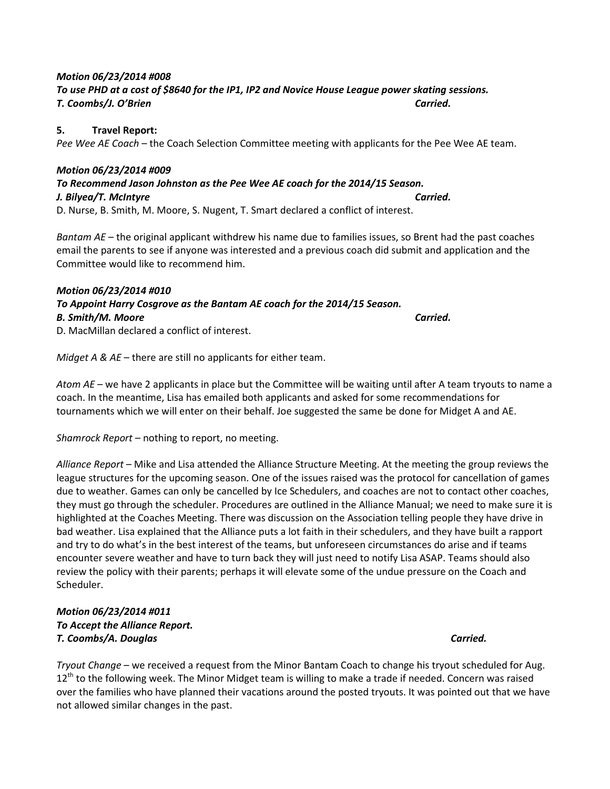## Motion 06/23/2014 #008 To use PHD at a cost of \$8640 for the IP1, IP2 and Novice House League power skating sessions. T. Coombs/J. O'Brien Carried.

### 5. Travel Report:

Pee Wee AE Coach – the Coach Selection Committee meeting with applicants for the Pee Wee AE team.

## Motion 06/23/2014 #009

#### To Recommend Jason Johnston as the Pee Wee AE coach for the 2014/15 Season. J. Bilyea/T. McIntyre Carried. D. Nurse, B. Smith, M. Moore, S. Nugent, T. Smart declared a conflict of interest.

Bantam  $AF$  – the original applicant withdrew his name due to families issues, so Brent had the past coaches email the parents to see if anyone was interested and a previous coach did submit and application and the Committee would like to recommend him.

### Motion 06/23/2014 #010

# To Appoint Harry Cosgrove as the Bantam AE coach for the 2014/15 Season. B. Smith/M. Moore Carried.

D. MacMillan declared a conflict of interest.

Midget A &  $AE$  – there are still no applicants for either team.

Atom AE – we have 2 applicants in place but the Committee will be waiting until after A team tryouts to name a coach. In the meantime, Lisa has emailed both applicants and asked for some recommendations for tournaments which we will enter on their behalf. Joe suggested the same be done for Midget A and AE.

Shamrock Report – nothing to report, no meeting.

Alliance Report – Mike and Lisa attended the Alliance Structure Meeting. At the meeting the group reviews the league structures for the upcoming season. One of the issues raised was the protocol for cancellation of games due to weather. Games can only be cancelled by Ice Schedulers, and coaches are not to contact other coaches, they must go through the scheduler. Procedures are outlined in the Alliance Manual; we need to make sure it is highlighted at the Coaches Meeting. There was discussion on the Association telling people they have drive in bad weather. Lisa explained that the Alliance puts a lot faith in their schedulers, and they have built a rapport and try to do what's in the best interest of the teams, but unforeseen circumstances do arise and if teams encounter severe weather and have to turn back they will just need to notify Lisa ASAP. Teams should also review the policy with their parents; perhaps it will elevate some of the undue pressure on the Coach and Scheduler.

## Motion 06/23/2014 #011 To Accept the Alliance Report. T. Coombs/A. Douglas Carried.

Tryout Change – we received a request from the Minor Bantam Coach to change his tryout scheduled for Aug.  $12<sup>th</sup>$  to the following week. The Minor Midget team is willing to make a trade if needed. Concern was raised over the families who have planned their vacations around the posted tryouts. It was pointed out that we have not allowed similar changes in the past.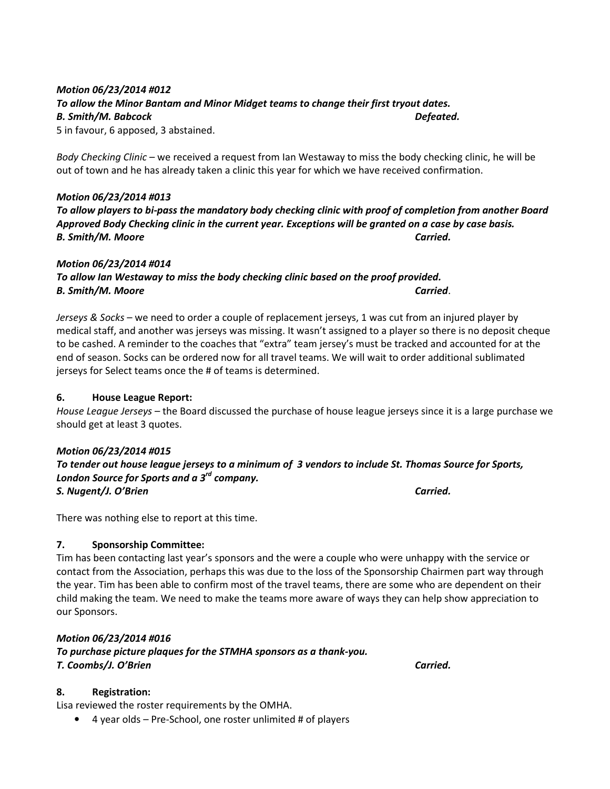# Motion 06/23/2014 #012 To allow the Minor Bantam and Minor Midget teams to change their first tryout dates. B. Smith/M. Babcock Defeated.

5 in favour, 6 apposed, 3 abstained.

Body Checking Clinic – we received a request from Ian Westaway to miss the body checking clinic, he will be out of town and he has already taken a clinic this year for which we have received confirmation.

## Motion 06/23/2014 #013

To allow players to bi-pass the mandatory body checking clinic with proof of completion from another Board Approved Body Checking clinic in the current year. Exceptions will be granted on a case by case basis. B. Smith/M. Moore Carried.

### Motion 06/23/2014 #014 To allow Ian Westaway to miss the body checking clinic based on the proof provided. B. Smith/M. Moore **Carried.**

Jerseys & Socks – we need to order a couple of replacement jerseys, 1 was cut from an injured player by medical staff, and another was jerseys was missing. It wasn't assigned to a player so there is no deposit cheque to be cashed. A reminder to the coaches that "extra" team jersey's must be tracked and accounted for at the end of season. Socks can be ordered now for all travel teams. We will wait to order additional sublimated jerseys for Select teams once the # of teams is determined.

#### 6. House League Report:

House League Jerseys – the Board discussed the purchase of house league jerseys since it is a large purchase we should get at least 3 quotes.

#### Motion 06/23/2014 #015

To tender out house league jerseys to a minimum of 3 vendors to include St. Thomas Source for Sports, London Source for Sports and a  $3<sup>rd</sup>$  company. S. Nugent/J. O'Brien Carried.

There was nothing else to report at this time.

## 7. Sponsorship Committee:

Tim has been contacting last year's sponsors and the were a couple who were unhappy with the service or contact from the Association, perhaps this was due to the loss of the Sponsorship Chairmen part way through the year. Tim has been able to confirm most of the travel teams, there are some who are dependent on their child making the team. We need to make the teams more aware of ways they can help show appreciation to our Sponsors.

Motion 06/23/2014 #016 To purchase picture plaques for the STMHA sponsors as a thank-you. T. Coombs/J. O'Brien Carried.

## 8. Registration:

Lisa reviewed the roster requirements by the OMHA.

• 4 year olds – Pre-School, one roster unlimited # of players